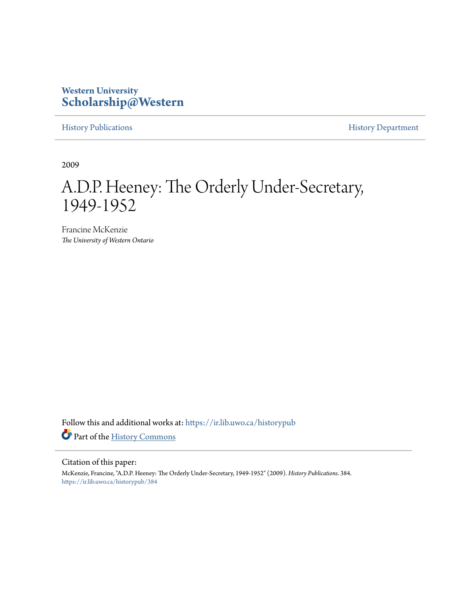# **Western University [Scholarship@Western](https://ir.lib.uwo.ca?utm_source=ir.lib.uwo.ca%2Fhistorypub%2F384&utm_medium=PDF&utm_campaign=PDFCoverPages)**

[History Publications](https://ir.lib.uwo.ca/historypub?utm_source=ir.lib.uwo.ca%2Fhistorypub%2F384&utm_medium=PDF&utm_campaign=PDFCoverPages) **[History Department](https://ir.lib.uwo.ca/history?utm_source=ir.lib.uwo.ca%2Fhistorypub%2F384&utm_medium=PDF&utm_campaign=PDFCoverPages)** 

2009

# A.D.P. Heeney: The Orderly Under-Secretary, 1949-1952

Francine McKenzie *The University of Western Ontario*

Follow this and additional works at: [https://ir.lib.uwo.ca/historypub](https://ir.lib.uwo.ca/historypub?utm_source=ir.lib.uwo.ca%2Fhistorypub%2F384&utm_medium=PDF&utm_campaign=PDFCoverPages) Part of the [History Commons](http://network.bepress.com/hgg/discipline/489?utm_source=ir.lib.uwo.ca%2Fhistorypub%2F384&utm_medium=PDF&utm_campaign=PDFCoverPages)

#### Citation of this paper:

McKenzie, Francine, "A.D.P. Heeney: The Orderly Under-Secretary, 1949-1952" (2009). *History Publications*. 384. [https://ir.lib.uwo.ca/historypub/384](https://ir.lib.uwo.ca/historypub/384?utm_source=ir.lib.uwo.ca%2Fhistorypub%2F384&utm_medium=PDF&utm_campaign=PDFCoverPages)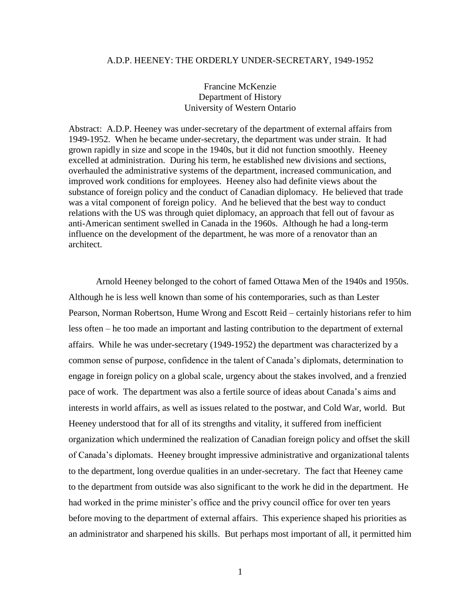#### A.D.P. HEENEY: THE ORDERLY UNDER-SECRETARY, 1949-1952

## Francine McKenzie Department of History University of Western Ontario

Abstract: A.D.P. Heeney was under-secretary of the department of external affairs from 1949-1952. When he became under-secretary, the department was under strain. It had grown rapidly in size and scope in the 1940s, but it did not function smoothly. Heeney excelled at administration. During his term, he established new divisions and sections, overhauled the administrative systems of the department, increased communication, and improved work conditions for employees. Heeney also had definite views about the substance of foreign policy and the conduct of Canadian diplomacy. He believed that trade was a vital component of foreign policy. And he believed that the best way to conduct relations with the US was through quiet diplomacy, an approach that fell out of favour as anti-American sentiment swelled in Canada in the 1960s. Although he had a long-term influence on the development of the department, he was more of a renovator than an architect.

Arnold Heeney belonged to the cohort of famed Ottawa Men of the 1940s and 1950s. Although he is less well known than some of his contemporaries, such as than Lester Pearson, Norman Robertson, Hume Wrong and Escott Reid – certainly historians refer to him less often – he too made an important and lasting contribution to the department of external affairs. While he was under-secretary (1949-1952) the department was characterized by a common sense of purpose, confidence in the talent of Canada's diplomats, determination to engage in foreign policy on a global scale, urgency about the stakes involved, and a frenzied pace of work. The department was also a fertile source of ideas about Canada's aims and interests in world affairs, as well as issues related to the postwar, and Cold War, world. But Heeney understood that for all of its strengths and vitality, it suffered from inefficient organization which undermined the realization of Canadian foreign policy and offset the skill of Canada's diplomats. Heeney brought impressive administrative and organizational talents to the department, long overdue qualities in an under-secretary. The fact that Heeney came to the department from outside was also significant to the work he did in the department. He had worked in the prime minister's office and the privy council office for over ten years before moving to the department of external affairs. This experience shaped his priorities as an administrator and sharpened his skills. But perhaps most important of all, it permitted him

1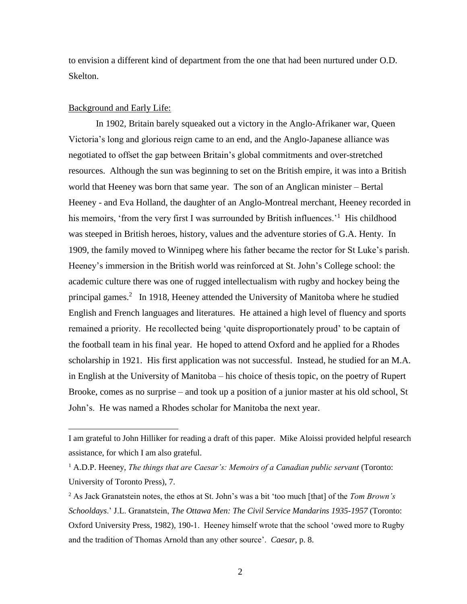to envision a different kind of department from the one that had been nurtured under O.D. Skelton.

#### Background and Early Life:

 $\overline{a}$ 

In 1902, Britain barely squeaked out a victory in the Anglo-Afrikaner war, Queen Victoria's long and glorious reign came to an end, and the Anglo-Japanese alliance was negotiated to offset the gap between Britain's global commitments and over-stretched resources. Although the sun was beginning to set on the British empire, it was into a British world that Heeney was born that same year. The son of an Anglican minister – Bertal Heeney - and Eva Holland, the daughter of an Anglo-Montreal merchant, Heeney recorded in his memoirs, 'from the very first I was surrounded by British influences.'<sup>1</sup> His childhood was steeped in British heroes, history, values and the adventure stories of G.A. Henty. In 1909, the family moved to Winnipeg where his father became the rector for St Luke's parish. Heeney's immersion in the British world was reinforced at St. John's College school: the academic culture there was one of rugged intellectualism with rugby and hockey being the principal games. 2 In 1918, Heeney attended the University of Manitoba where he studied English and French languages and literatures. He attained a high level of fluency and sports remained a priority. He recollected being 'quite disproportionately proud' to be captain of the football team in his final year. He hoped to attend Oxford and he applied for a Rhodes scholarship in 1921. His first application was not successful. Instead, he studied for an M.A. in English at the University of Manitoba – his choice of thesis topic, on the poetry of Rupert Brooke, comes as no surprise – and took up a position of a junior master at his old school, St John's. He was named a Rhodes scholar for Manitoba the next year.

I am grateful to John Hilliker for reading a draft of this paper. Mike Aloissi provided helpful research assistance, for which I am also grateful.

<sup>1</sup> A.D.P. Heeney, *The things that are Caesar's: Memoirs of a Canadian public servant* (Toronto: University of Toronto Press), 7.

<sup>2</sup> As Jack Granatstein notes, the ethos at St. John's was a bit 'too much [that] of the *Tom Brown's Schooldays*.' J.L. Granatstein, *The Ottawa Men: The Civil Service Mandarins 1935-1957* (Toronto: Oxford University Press, 1982), 190-1. Heeney himself wrote that the school 'owed more to Rugby and the tradition of Thomas Arnold than any other source'. *Caesar*, p. 8.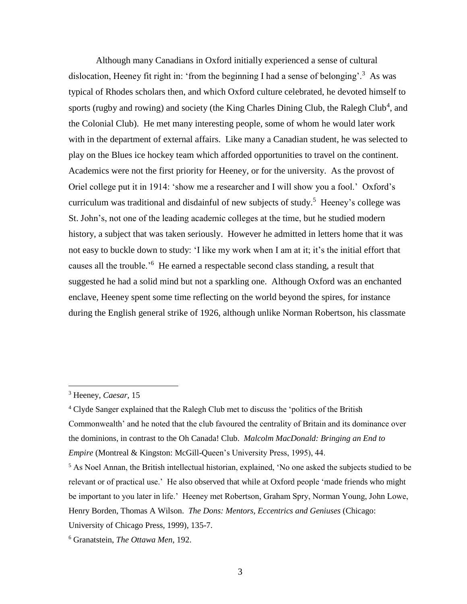Although many Canadians in Oxford initially experienced a sense of cultural dislocation, Heeney fit right in: 'from the beginning I had a sense of belonging'.<sup>3</sup> As was typical of Rhodes scholars then, and which Oxford culture celebrated, he devoted himself to sports (rugby and rowing) and society (the King Charles Dining Club, the Ralegh Club<sup>4</sup>, and the Colonial Club). He met many interesting people, some of whom he would later work with in the department of external affairs. Like many a Canadian student, he was selected to play on the Blues ice hockey team which afforded opportunities to travel on the continent. Academics were not the first priority for Heeney, or for the university. As the provost of Oriel college put it in 1914: 'show me a researcher and I will show you a fool.' Oxford's curriculum was traditional and disdainful of new subjects of study.<sup>5</sup> Heeney's college was St. John's, not one of the leading academic colleges at the time, but he studied modern history, a subject that was taken seriously. However he admitted in letters home that it was not easy to buckle down to study: 'I like my work when I am at it; it's the initial effort that causes all the trouble.<sup>'6</sup> He earned a respectable second class standing, a result that suggested he had a solid mind but not a sparkling one. Although Oxford was an enchanted enclave, Heeney spent some time reflecting on the world beyond the spires, for instance during the English general strike of 1926, although unlike Norman Robertson, his classmate

<sup>3</sup> Heeney, *Caesar*, 15

<sup>4</sup> Clyde Sanger explained that the Ralegh Club met to discuss the 'politics of the British Commonwealth' and he noted that the club favoured the centrality of Britain and its dominance over the dominions, in contrast to the Oh Canada! Club. *Malcolm MacDonald: Bringing an End to Empire* (Montreal & Kingston: McGill-Queen's University Press, 1995), 44.

 $<sup>5</sup>$  As Noel Annan, the British intellectual historian, explained, 'No one asked the subjects studied to be</sup> relevant or of practical use.' He also observed that while at Oxford people 'made friends who might be important to you later in life.' Heeney met Robertson, Graham Spry, Norman Young, John Lowe, Henry Borden, Thomas A Wilson. *The Dons: Mentors, Eccentrics and Geniuses* (Chicago: University of Chicago Press, 1999), 135-7.

<sup>6</sup> Granatstein, *The Ottawa Men*, 192.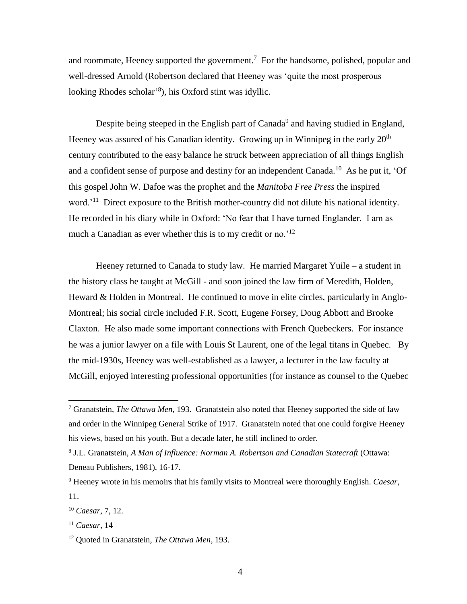and roommate, Heeney supported the government.<sup>7</sup> For the handsome, polished, popular and well-dressed Arnold (Robertson declared that Heeney was 'quite the most prosperous looking Rhodes scholar'<sup>8</sup>), his Oxford stint was idyllic.

Despite being steeped in the English part of Canada<sup>9</sup> and having studied in England, Heeney was assured of his Canadian identity. Growing up in Winnipeg in the early  $20<sup>th</sup>$ century contributed to the easy balance he struck between appreciation of all things English and a confident sense of purpose and destiny for an independent Canada.<sup>10</sup> As he put it, 'Of this gospel John W. Dafoe was the prophet and the *Manitoba Free Press* the inspired word.<sup>'11</sup> Direct exposure to the British mother-country did not dilute his national identity. He recorded in his diary while in Oxford: 'No fear that I have turned Englander. I am as much a Canadian as ever whether this is to my credit or no.<sup>'12</sup>

Heeney returned to Canada to study law. He married Margaret Yuile – a student in the history class he taught at McGill - and soon joined the law firm of Meredith, Holden, Heward & Holden in Montreal. He continued to move in elite circles, particularly in Anglo-Montreal; his social circle included F.R. Scott, Eugene Forsey, Doug Abbott and Brooke Claxton. He also made some important connections with French Quebeckers. For instance he was a junior lawyer on a file with Louis St Laurent, one of the legal titans in Quebec. By the mid-1930s, Heeney was well-established as a lawyer, a lecturer in the law faculty at McGill, enjoyed interesting professional opportunities (for instance as counsel to the Quebec

<sup>7</sup> Granatstein, *The Ottawa Men*, 193. Granatstein also noted that Heeney supported the side of law and order in the Winnipeg General Strike of 1917. Granatstein noted that one could forgive Heeney his views, based on his youth. But a decade later, he still inclined to order.

<sup>8</sup> J.L. Granatstein, *A Man of Influence: Norman A. Robertson and Canadian Statecraft* (Ottawa: Deneau Publishers, 1981), 16-17.

<sup>9</sup> Heeney wrote in his memoirs that his family visits to Montreal were thoroughly English. *Caesar*, 11.

<sup>10</sup> *Caesar*, 7, 12.

<sup>11</sup> *Caesar*, 14

<sup>12</sup> Quoted in Granatstein, *The Ottawa Men*, 193.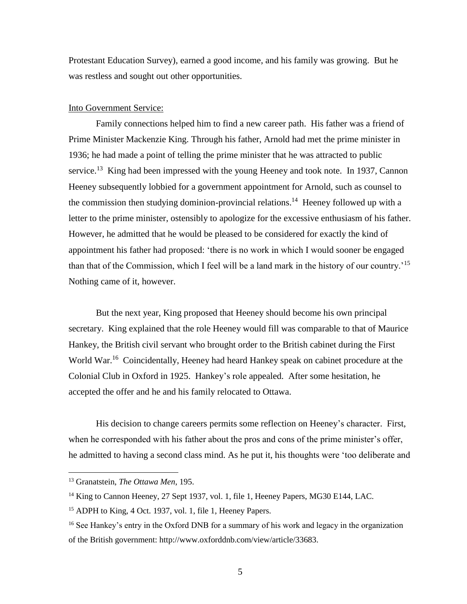Protestant Education Survey), earned a good income, and his family was growing. But he was restless and sought out other opportunities.

#### Into Government Service:

Family connections helped him to find a new career path. His father was a friend of Prime Minister Mackenzie King. Through his father, Arnold had met the prime minister in 1936; he had made a point of telling the prime minister that he was attracted to public service.<sup>13</sup> King had been impressed with the young Heeney and took note. In 1937, Cannon Heeney subsequently lobbied for a government appointment for Arnold, such as counsel to the commission then studying dominion-provincial relations.<sup>14</sup> Heeney followed up with a letter to the prime minister, ostensibly to apologize for the excessive enthusiasm of his father. However, he admitted that he would be pleased to be considered for exactly the kind of appointment his father had proposed: 'there is no work in which I would sooner be engaged than that of the Commission, which I feel will be a land mark in the history of our country.<sup>'15</sup> Nothing came of it, however.

But the next year, King proposed that Heeney should become his own principal secretary. King explained that the role Heeney would fill was comparable to that of Maurice Hankey, the British civil servant who brought order to the British cabinet during the First World War.<sup>16</sup> Coincidentally, Heeney had heard Hankey speak on cabinet procedure at the Colonial Club in Oxford in 1925. Hankey's role appealed. After some hesitation, he accepted the offer and he and his family relocated to Ottawa.

His decision to change careers permits some reflection on Heeney's character. First, when he corresponded with his father about the pros and cons of the prime minister's offer, he admitted to having a second class mind. As he put it, his thoughts were 'too deliberate and

<sup>13</sup> Granatstein, *The Ottawa Men*, 195.

<sup>&</sup>lt;sup>14</sup> King to Cannon Heeney, 27 Sept 1937, vol. 1, file 1, Heeney Papers, MG30 E144, LAC.

<sup>15</sup> ADPH to King, 4 Oct. 1937, vol. 1, file 1, Heeney Papers.

<sup>&</sup>lt;sup>16</sup> See Hankey's entry in the Oxford DNB for a summary of his work and legacy in the organization of the British government: http://www.oxforddnb.com/view/article/33683.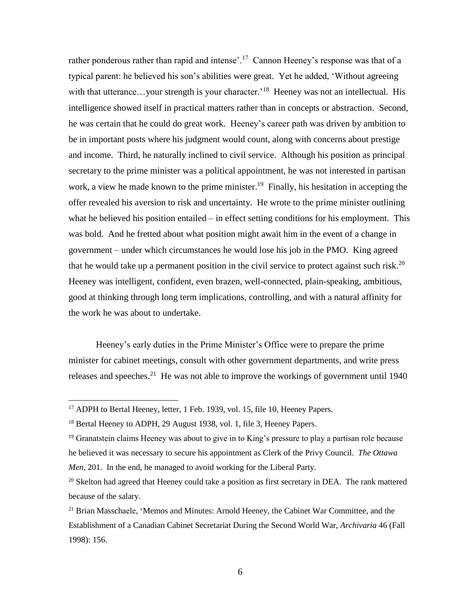rather ponderous rather than rapid and intense'.<sup>17</sup> Cannon Heeney's response was that of a typical parent: he believed his son's abilities were great. Yet he added, 'Without agreeing with that utterance...your strength is your character.<sup>18</sup> Heeney was not an intellectual. His intelligence showed itself in practical matters rather than in concepts or abstraction. Second, he was certain that he could do great work. Heeney's career path was driven by ambition to be in important posts where his judgment would count, along with concerns about prestige and income. Third, he naturally inclined to civil service. Although his position as principal secretary to the prime minister was a political appointment, he was not interested in partisan work, a view he made known to the prime minister.<sup>19</sup> Finally, his hesitation in accepting the offer revealed his aversion to risk and uncertainty. He wrote to the prime minister outlining what he believed his position entailed – in effect setting conditions for his employment. This was bold. And he fretted about what position might await him in the event of a change in government – under which circumstances he would lose his job in the PMO. King agreed that he would take up a permanent position in the civil service to protect against such risk.<sup>20</sup> Heeney was intelligent, confident, even brazen, well-connected, plain-speaking, ambitious, good at thinking through long term implications, controlling, and with a natural affinity for the work he was about to undertake.

Heeney's early duties in the Prime Minister's Office were to prepare the prime minister for cabinet meetings, consult with other government departments, and write press releases and speeches.<sup>21</sup> He was not able to improve the workings of government until 1940

<sup>&</sup>lt;sup>17</sup> ADPH to Bertal Heeney, letter, 1 Feb. 1939, vol. 15, file 10, Heeney Papers.

<sup>&</sup>lt;sup>18</sup> Bertal Heeney to ADPH, 29 August 1938, vol. 1, file 3, Heeney Papers.

<sup>&</sup>lt;sup>19</sup> Granatstein claims Heeney was about to give in to King's pressure to play a partisan role because he believed it was necessary to secure his appointment as Clerk of the Privy Council*. The Ottawa Men*, 201. In the end, he managed to avoid working for the Liberal Party.

<sup>&</sup>lt;sup>20</sup> Skelton had agreed that Heeney could take a position as first secretary in DEA. The rank mattered because of the salary.

 $21$  Brian Masschaele, 'Memos and Minutes: Arnold Heeney, the Cabinet War Committee, and the Establishment of a Canadian Cabinet Secretariat During the Second World War, *Archivaria* 46 (Fall 1998): 156.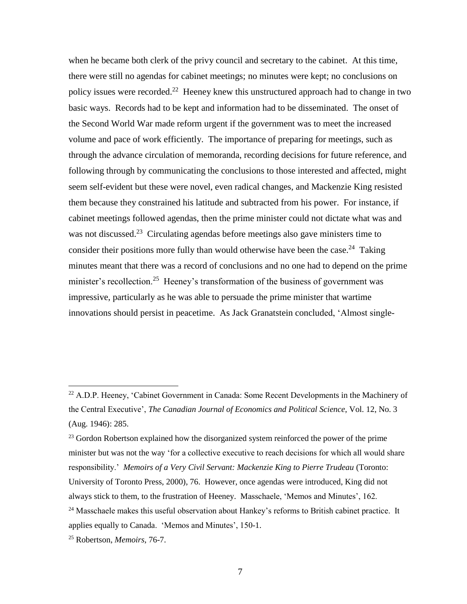when he became both clerk of the privy council and secretary to the cabinet. At this time, there were still no agendas for cabinet meetings; no minutes were kept; no conclusions on policy issues were recorded.<sup>22</sup> Heeney knew this unstructured approach had to change in two basic ways. Records had to be kept and information had to be disseminated. The onset of the Second World War made reform urgent if the government was to meet the increased volume and pace of work efficiently. The importance of preparing for meetings, such as through the advance circulation of memoranda, recording decisions for future reference, and following through by communicating the conclusions to those interested and affected, might seem self-evident but these were novel, even radical changes, and Mackenzie King resisted them because they constrained his latitude and subtracted from his power. For instance, if cabinet meetings followed agendas, then the prime minister could not dictate what was and was not discussed.<sup>23</sup> Circulating agendas before meetings also gave ministers time to consider their positions more fully than would otherwise have been the case.<sup>24</sup> Taking minutes meant that there was a record of conclusions and no one had to depend on the prime minister's recollection.<sup>25</sup> Heeney's transformation of the business of government was impressive, particularly as he was able to persuade the prime minister that wartime innovations should persist in peacetime. As Jack Granatstein concluded, 'Almost single-

 $23$  Gordon Robertson explained how the disorganized system reinforced the power of the prime minister but was not the way 'for a collective executive to reach decisions for which all would share responsibility.' *Memoirs of a Very Civil Servant: Mackenzie King to Pierre Trudeau* (Toronto: University of Toronto Press, 2000), 76. However, once agendas were introduced, King did not always stick to them, to the frustration of Heeney. Masschaele, 'Memos and Minutes', 162. <sup>24</sup> Masschaele makes this useful observation about Hankey's reforms to British cabinet practice. It applies equally to Canada. 'Memos and Minutes', 150-1.

<sup>&</sup>lt;sup>22</sup> A.D.P. Heeney, 'Cabinet Government in Canada: Some Recent Developments in the Machinery of the Central Executive', *The Canadian Journal of Economics and Political Science*, Vol. 12, No. 3 (Aug. 1946): 285.

<sup>25</sup> Robertson, *Memoirs*, 76-7.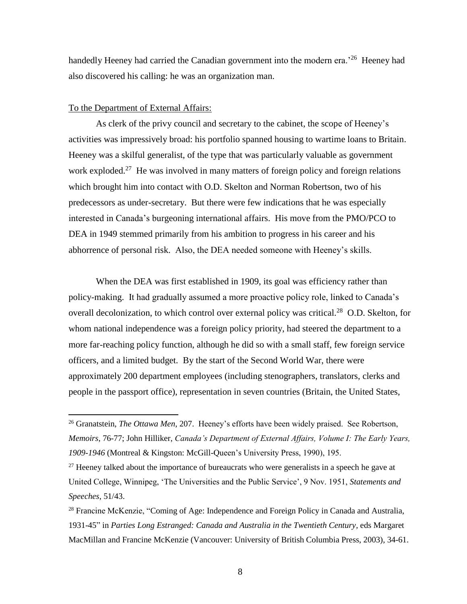handedly Heeney had carried the Canadian government into the modern era.<sup>26</sup> Heeney had also discovered his calling: he was an organization man.

#### To the Department of External Affairs:

 $\overline{a}$ 

As clerk of the privy council and secretary to the cabinet, the scope of Heeney's activities was impressively broad: his portfolio spanned housing to wartime loans to Britain. Heeney was a skilful generalist, of the type that was particularly valuable as government work exploded.<sup>27</sup> He was involved in many matters of foreign policy and foreign relations which brought him into contact with O.D. Skelton and Norman Robertson, two of his predecessors as under-secretary. But there were few indications that he was especially interested in Canada's burgeoning international affairs. His move from the PMO/PCO to DEA in 1949 stemmed primarily from his ambition to progress in his career and his abhorrence of personal risk. Also, the DEA needed someone with Heeney's skills.

When the DEA was first established in 1909, its goal was efficiency rather than policy-making. It had gradually assumed a more proactive policy role, linked to Canada's overall decolonization, to which control over external policy was critical.<sup>28</sup> O.D. Skelton, for whom national independence was a foreign policy priority, had steered the department to a more far-reaching policy function, although he did so with a small staff, few foreign service officers, and a limited budget. By the start of the Second World War, there were approximately 200 department employees (including stenographers, translators, clerks and people in the passport office), representation in seven countries (Britain, the United States,

<sup>26</sup> Granatstein, *The Ottawa Men*, 207. Heeney's efforts have been widely praised. See Robertson, *Memoirs*, 76-77; John Hilliker, *Canada's Department of External Affairs, Volume I: The Early Years, 1909-1946* (Montreal & Kingston: McGill-Queen's University Press, 1990), 195.

 $27$  Heeney talked about the importance of bureaucrats who were generalists in a speech he gave at United College, Winnipeg, 'The Universities and the Public Service', 9 Nov. 1951, *Statements and Speeches*, 51/43.

<sup>&</sup>lt;sup>28</sup> Francine McKenzie, "Coming of Age: Independence and Foreign Policy in Canada and Australia, 1931-45" in *Parties Long Estranged: Canada and Australia in the Twentieth Century,* eds Margaret MacMillan and Francine McKenzie (Vancouver: University of British Columbia Press, 2003), 34-61.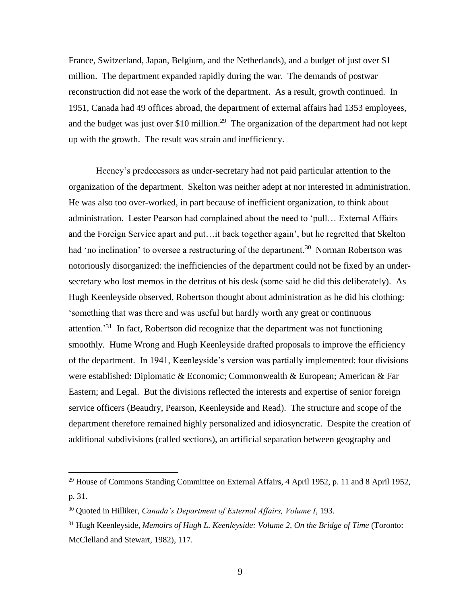France, Switzerland, Japan, Belgium, and the Netherlands), and a budget of just over \$1 million. The department expanded rapidly during the war. The demands of postwar reconstruction did not ease the work of the department. As a result, growth continued. In 1951, Canada had 49 offices abroad, the department of external affairs had 1353 employees, and the budget was just over \$10 million.<sup>29</sup> The organization of the department had not kept up with the growth. The result was strain and inefficiency.

Heeney's predecessors as under-secretary had not paid particular attention to the organization of the department. Skelton was neither adept at nor interested in administration. He was also too over-worked, in part because of inefficient organization, to think about administration. Lester Pearson had complained about the need to 'pull… External Affairs and the Foreign Service apart and put…it back together again', but he regretted that Skelton had 'no inclination' to oversee a restructuring of the department.<sup>30</sup> Norman Robertson was notoriously disorganized: the inefficiencies of the department could not be fixed by an undersecretary who lost memos in the detritus of his desk (some said he did this deliberately). As Hugh Keenleyside observed, Robertson thought about administration as he did his clothing: 'something that was there and was useful but hardly worth any great or continuous attention.<sup>31</sup> In fact, Robertson did recognize that the department was not functioning smoothly. Hume Wrong and Hugh Keenleyside drafted proposals to improve the efficiency of the department. In 1941, Keenleyside's version was partially implemented: four divisions were established: Diplomatic & Economic; Commonwealth & European; American & Far Eastern; and Legal. But the divisions reflected the interests and expertise of senior foreign service officers (Beaudry, Pearson, Keenleyside and Read). The structure and scope of the department therefore remained highly personalized and idiosyncratic. Despite the creation of additional subdivisions (called sections), an artificial separation between geography and

 $29$  House of Commons Standing Committee on External Affairs, 4 April 1952, p. 11 and 8 April 1952, p. 31.

<sup>30</sup> Quoted in Hilliker, *Canada's Department of External Affairs, Volume I*, 193.

<sup>31</sup> Hugh Keenleyside, *Memoirs of Hugh L. Keenleyside: Volume 2, On the Bridge of Time* (Toronto: McClelland and Stewart, 1982), 117.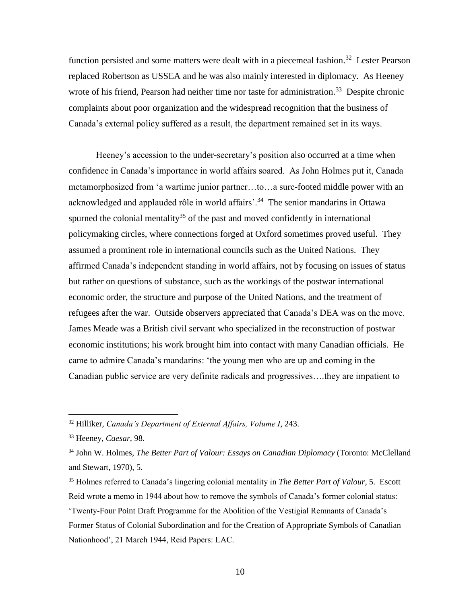function persisted and some matters were dealt with in a piecemeal fashion.<sup>32</sup> Lester Pearson replaced Robertson as USSEA and he was also mainly interested in diplomacy. As Heeney wrote of his friend, Pearson had neither time nor taste for administration.<sup>33</sup> Despite chronic complaints about poor organization and the widespread recognition that the business of Canada's external policy suffered as a result, the department remained set in its ways.

Heeney's accession to the under-secretary's position also occurred at a time when confidence in Canada's importance in world affairs soared. As John Holmes put it, Canada metamorphosized from 'a wartime junior partner…to…a sure-footed middle power with an acknowledged and applauded rôle in world affairs'.<sup>34</sup> The senior mandarins in Ottawa spurned the colonial mentality<sup>35</sup> of the past and moved confidently in international policymaking circles, where connections forged at Oxford sometimes proved useful. They assumed a prominent role in international councils such as the United Nations. They affirmed Canada's independent standing in world affairs, not by focusing on issues of status but rather on questions of substance, such as the workings of the postwar international economic order, the structure and purpose of the United Nations, and the treatment of refugees after the war. Outside observers appreciated that Canada's DEA was on the move. James Meade was a British civil servant who specialized in the reconstruction of postwar economic institutions; his work brought him into contact with many Canadian officials. He came to admire Canada's mandarins: 'the young men who are up and coming in the Canadian public service are very definite radicals and progressives….they are impatient to

<sup>32</sup> Hilliker, *Canada's Department of External Affairs, Volume I*, 243.

<sup>33</sup> Heeney, *Caesar*, 98.

<sup>34</sup> John W. Holmes, *The Better Part of Valour: Essays on Canadian Diplomacy* (Toronto: McClelland and Stewart, 1970), 5.

<sup>35</sup> Holmes referred to Canada's lingering colonial mentality in *The Better Part of Valour*, 5. Escott Reid wrote a memo in 1944 about how to remove the symbols of Canada's former colonial status: 'Twenty-Four Point Draft Programme for the Abolition of the Vestigial Remnants of Canada's Former Status of Colonial Subordination and for the Creation of Appropriate Symbols of Canadian Nationhood', 21 March 1944, Reid Papers: LAC.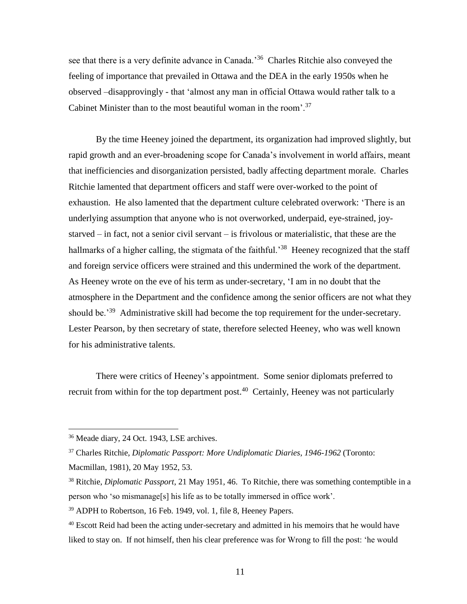see that there is a very definite advance in Canada.<sup>36</sup> Charles Ritchie also conveyed the feeling of importance that prevailed in Ottawa and the DEA in the early 1950s when he observed –disapprovingly - that 'almost any man in official Ottawa would rather talk to a Cabinet Minister than to the most beautiful woman in the room'.<sup>37</sup>

By the time Heeney joined the department, its organization had improved slightly, but rapid growth and an ever-broadening scope for Canada's involvement in world affairs, meant that inefficiencies and disorganization persisted, badly affecting department morale. Charles Ritchie lamented that department officers and staff were over-worked to the point of exhaustion. He also lamented that the department culture celebrated overwork: 'There is an underlying assumption that anyone who is not overworked, underpaid, eye-strained, joystarved – in fact, not a senior civil servant – is frivolous or materialistic, that these are the hallmarks of a higher calling, the stigmata of the faithful.<sup>38</sup> Heeney recognized that the staff and foreign service officers were strained and this undermined the work of the department. As Heeney wrote on the eve of his term as under-secretary, 'I am in no doubt that the atmosphere in the Department and the confidence among the senior officers are not what they should be.<sup>39</sup> Administrative skill had become the top requirement for the under-secretary. Lester Pearson, by then secretary of state, therefore selected Heeney, who was well known for his administrative talents.

There were critics of Heeney's appointment. Some senior diplomats preferred to recruit from within for the top department post.<sup>40</sup> Certainly, Heeney was not particularly

<sup>36</sup> Meade diary, 24 Oct. 1943, LSE archives.

<sup>37</sup> Charles Ritchie, *Diplomatic Passport: More Undiplomatic Diaries, 1946-1962* (Toronto: Macmillan, 1981), 20 May 1952, 53.

<sup>38</sup> Ritchie, *Diplomatic Passport*, 21 May 1951, 46. To Ritchie, there was something contemptible in a person who 'so mismanage[s] his life as to be totally immersed in office work'.

<sup>39</sup> ADPH to Robertson, 16 Feb. 1949, vol. 1, file 8, Heeney Papers.

 $40$  Escott Reid had been the acting under-secretary and admitted in his memoirs that he would have liked to stay on. If not himself, then his clear preference was for Wrong to fill the post: 'he would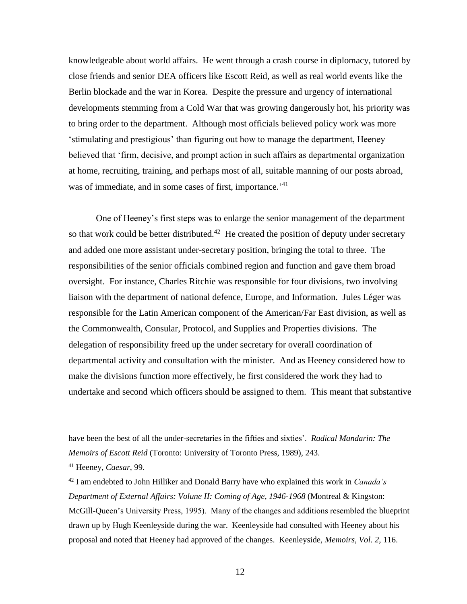knowledgeable about world affairs. He went through a crash course in diplomacy, tutored by close friends and senior DEA officers like Escott Reid, as well as real world events like the Berlin blockade and the war in Korea. Despite the pressure and urgency of international developments stemming from a Cold War that was growing dangerously hot, his priority was to bring order to the department. Although most officials believed policy work was more 'stimulating and prestigious' than figuring out how to manage the department, Heeney believed that 'firm, decisive, and prompt action in such affairs as departmental organization at home, recruiting, training, and perhaps most of all, suitable manning of our posts abroad, was of immediate, and in some cases of first, importance.<sup>'41</sup>

One of Heeney's first steps was to enlarge the senior management of the department so that work could be better distributed.<sup>42</sup> He created the position of deputy under secretary and added one more assistant under-secretary position, bringing the total to three. The responsibilities of the senior officials combined region and function and gave them broad oversight. For instance, Charles Ritchie was responsible for four divisions, two involving liaison with the department of national defence, Europe, and Information. Jules Léger was responsible for the Latin American component of the American/Far East division, as well as the Commonwealth, Consular, Protocol, and Supplies and Properties divisions. The delegation of responsibility freed up the under secretary for overall coordination of departmental activity and consultation with the minister. And as Heeney considered how to make the divisions function more effectively, he first considered the work they had to undertake and second which officers should be assigned to them. This meant that substantive

 $\overline{a}$ 

<sup>42</sup> I am endebted to John Hilliker and Donald Barry have who explained this work in *Canada's Department of External Affairs: Volune II: Coming of Age, 1946-1968* (Montreal & Kingston: McGill-Queen's University Press, 1995). Many of the changes and additions resembled the blueprint drawn up by Hugh Keenleyside during the war. Keenleyside had consulted with Heeney about his proposal and noted that Heeney had approved of the changes. Keenleyside, *Memoirs, Vol. 2*, 116.

have been the best of all the under-secretaries in the fifties and sixties'. *Radical Mandarin: The Memoirs of Escott Reid* (Toronto: University of Toronto Press, 1989), 243.

<sup>41</sup> Heeney, *Caesar*, 99.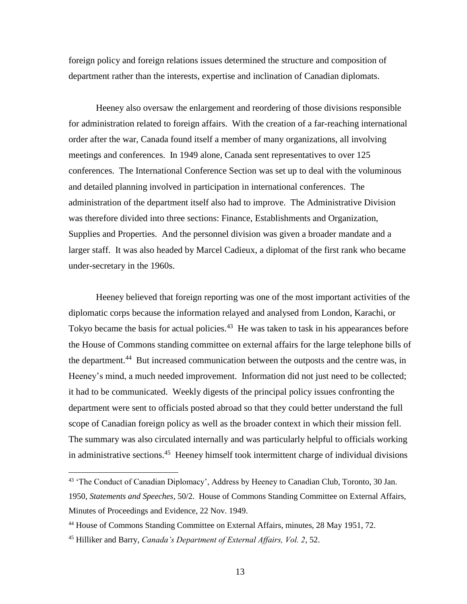foreign policy and foreign relations issues determined the structure and composition of department rather than the interests, expertise and inclination of Canadian diplomats.

Heeney also oversaw the enlargement and reordering of those divisions responsible for administration related to foreign affairs. With the creation of a far-reaching international order after the war, Canada found itself a member of many organizations, all involving meetings and conferences. In 1949 alone, Canada sent representatives to over 125 conferences. The International Conference Section was set up to deal with the voluminous and detailed planning involved in participation in international conferences. The administration of the department itself also had to improve. The Administrative Division was therefore divided into three sections: Finance, Establishments and Organization, Supplies and Properties. And the personnel division was given a broader mandate and a larger staff. It was also headed by Marcel Cadieux, a diplomat of the first rank who became under-secretary in the 1960s.

Heeney believed that foreign reporting was one of the most important activities of the diplomatic corps because the information relayed and analysed from London, Karachi, or Tokyo became the basis for actual policies.<sup>43</sup> He was taken to task in his appearances before the House of Commons standing committee on external affairs for the large telephone bills of the department.<sup>44</sup> But increased communication between the outposts and the centre was, in Heeney's mind, a much needed improvement. Information did not just need to be collected; it had to be communicated. Weekly digests of the principal policy issues confronting the department were sent to officials posted abroad so that they could better understand the full scope of Canadian foreign policy as well as the broader context in which their mission fell. The summary was also circulated internally and was particularly helpful to officials working in administrative sections.<sup>45</sup> Heeney himself took intermittent charge of individual divisions

<sup>&</sup>lt;sup>43</sup> 'The Conduct of Canadian Diplomacy', Address by Heeney to Canadian Club, Toronto, 30 Jan. 1950, *Statements and Speeches*, 50/2. House of Commons Standing Committee on External Affairs, Minutes of Proceedings and Evidence, 22 Nov. 1949.

<sup>&</sup>lt;sup>44</sup> House of Commons Standing Committee on External Affairs, minutes, 28 May 1951, 72.

<sup>45</sup> Hilliker and Barry, *Canada's Department of External Affairs, Vol. 2*, 52.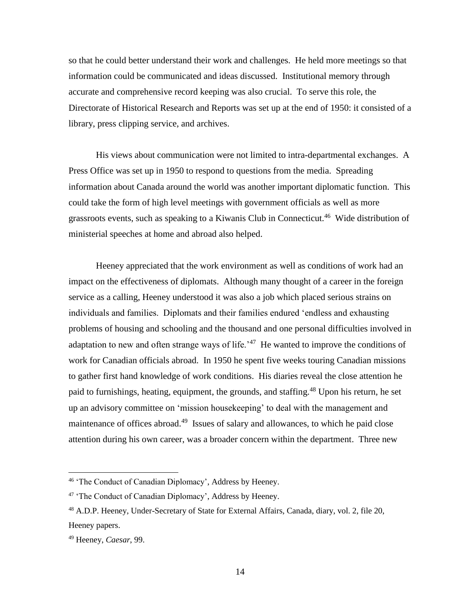so that he could better understand their work and challenges. He held more meetings so that information could be communicated and ideas discussed. Institutional memory through accurate and comprehensive record keeping was also crucial. To serve this role, the Directorate of Historical Research and Reports was set up at the end of 1950: it consisted of a library, press clipping service, and archives.

His views about communication were not limited to intra-departmental exchanges. A Press Office was set up in 1950 to respond to questions from the media. Spreading information about Canada around the world was another important diplomatic function. This could take the form of high level meetings with government officials as well as more grassroots events, such as speaking to a Kiwanis Club in Connecticut.<sup>46</sup> Wide distribution of ministerial speeches at home and abroad also helped.

Heeney appreciated that the work environment as well as conditions of work had an impact on the effectiveness of diplomats. Although many thought of a career in the foreign service as a calling, Heeney understood it was also a job which placed serious strains on individuals and families. Diplomats and their families endured 'endless and exhausting problems of housing and schooling and the thousand and one personal difficulties involved in adaptation to new and often strange ways of life.<sup>47</sup> He wanted to improve the conditions of work for Canadian officials abroad. In 1950 he spent five weeks touring Canadian missions to gather first hand knowledge of work conditions. His diaries reveal the close attention he paid to furnishings, heating, equipment, the grounds, and staffing.<sup>48</sup> Upon his return, he set up an advisory committee on 'mission housekeeping' to deal with the management and maintenance of offices abroad.<sup>49</sup> Issues of salary and allowances, to which he paid close attention during his own career, was a broader concern within the department. Three new

<sup>46</sup> 'The Conduct of Canadian Diplomacy', Address by Heeney.

<sup>&</sup>lt;sup>47</sup> 'The Conduct of Canadian Diplomacy', Address by Heeney.

<sup>48</sup> A.D.P. Heeney, Under-Secretary of State for External Affairs, Canada, diary, vol. 2, file 20, Heeney papers.

<sup>49</sup> Heeney, *Caesar*, 99.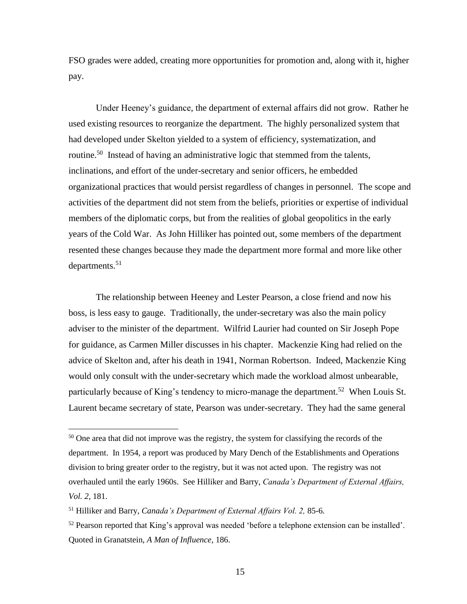FSO grades were added, creating more opportunities for promotion and, along with it, higher pay.

Under Heeney's guidance, the department of external affairs did not grow. Rather he used existing resources to reorganize the department. The highly personalized system that had developed under Skelton yielded to a system of efficiency, systematization, and routine.<sup>50</sup> Instead of having an administrative logic that stemmed from the talents, inclinations, and effort of the under-secretary and senior officers, he embedded organizational practices that would persist regardless of changes in personnel. The scope and activities of the department did not stem from the beliefs, priorities or expertise of individual members of the diplomatic corps, but from the realities of global geopolitics in the early years of the Cold War. As John Hilliker has pointed out, some members of the department resented these changes because they made the department more formal and more like other departments. 51

The relationship between Heeney and Lester Pearson, a close friend and now his boss, is less easy to gauge. Traditionally, the under-secretary was also the main policy adviser to the minister of the department. Wilfrid Laurier had counted on Sir Joseph Pope for guidance, as Carmen Miller discusses in his chapter. Mackenzie King had relied on the advice of Skelton and, after his death in 1941, Norman Robertson. Indeed, Mackenzie King would only consult with the under-secretary which made the workload almost unbearable, particularly because of King's tendency to micro-manage the department.<sup>52</sup> When Louis St. Laurent became secretary of state, Pearson was under-secretary. They had the same general

 $50$  One area that did not improve was the registry, the system for classifying the records of the department. In 1954, a report was produced by Mary Dench of the Establishments and Operations division to bring greater order to the registry, but it was not acted upon. The registry was not overhauled until the early 1960s. See Hilliker and Barry, *Canada's Department of External Affairs, Vol. 2*, 181.

<sup>51</sup> Hilliker and Barry, *Canada's Department of External Affairs Vol. 2,* 85-6.

 $52$  Pearson reported that King's approval was needed 'before a telephone extension can be installed'. Quoted in Granatstein, *A Man of Influence*, 186.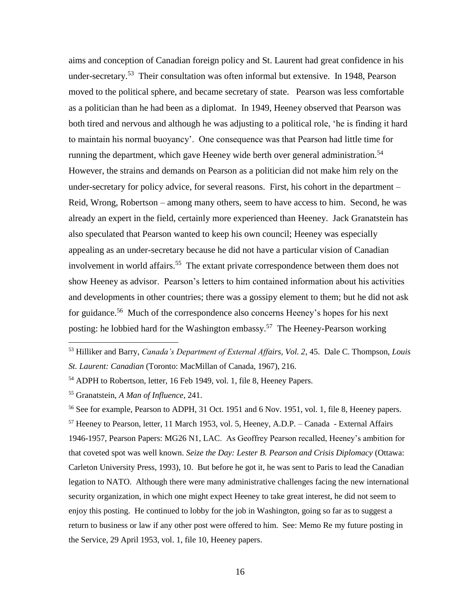aims and conception of Canadian foreign policy and St. Laurent had great confidence in his under-secretary.<sup>53</sup> Their consultation was often informal but extensive. In 1948, Pearson moved to the political sphere, and became secretary of state. Pearson was less comfortable as a politician than he had been as a diplomat. In 1949, Heeney observed that Pearson was both tired and nervous and although he was adjusting to a political role, 'he is finding it hard to maintain his normal buoyancy'. One consequence was that Pearson had little time for running the department, which gave Heeney wide berth over general administration.<sup>54</sup> However, the strains and demands on Pearson as a politician did not make him rely on the under-secretary for policy advice, for several reasons. First, his cohort in the department – Reid, Wrong, Robertson – among many others, seem to have access to him. Second, he was already an expert in the field, certainly more experienced than Heeney. Jack Granatstein has also speculated that Pearson wanted to keep his own council; Heeney was especially appealing as an under-secretary because he did not have a particular vision of Canadian involvement in world affairs.<sup>55</sup> The extant private correspondence between them does not show Heeney as advisor. Pearson's letters to him contained information about his activities and developments in other countries; there was a gossipy element to them; but he did not ask for guidance.<sup>56</sup> Much of the correspondence also concerns Heeney's hopes for his next posting: he lobbied hard for the Washington embassy.<sup>57</sup> The Heeney-Pearson working

 $\overline{a}$ 

<sup>56</sup> See for example, Pearson to ADPH, 31 Oct. 1951 and 6 Nov. 1951, vol. 1, file 8, Heeney papers. <sup>57</sup> Heeney to Pearson, letter, 11 March 1953, vol. 5, Heeney, A.D.P. – Canada - External Affairs 1946-1957, Pearson Papers: MG26 N1, LAC. As Geoffrey Pearson recalled, Heeney's ambition for that coveted spot was well known. *Seize the Day: Lester B. Pearson and Crisis Diplomacy* (Ottawa: Carleton University Press, 1993), 10. But before he got it, he was sent to Paris to lead the Canadian legation to NATO. Although there were many administrative challenges facing the new international security organization, in which one might expect Heeney to take great interest, he did not seem to enjoy this posting. He continued to lobby for the job in Washington, going so far as to suggest a return to business or law if any other post were offered to him. See: Memo Re my future posting in the Service, 29 April 1953, vol. 1, file 10, Heeney papers.

<sup>53</sup> Hilliker and Barry, *Canada's Department of External Affairs, Vol. 2*, 45. Dale C. Thompson, *Louis St. Laurent: Canadian* (Toronto: MacMillan of Canada, 1967), 216.

<sup>54</sup> ADPH to Robertson, letter, 16 Feb 1949, vol. 1, file 8, Heeney Papers.

<sup>55</sup> Granatstein, *A Man of Influence*, 241.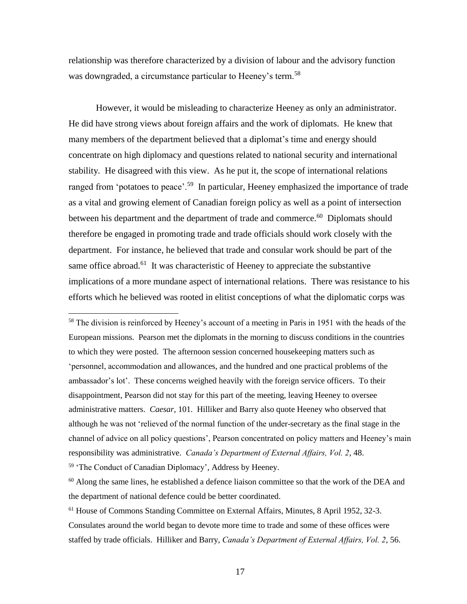relationship was therefore characterized by a division of labour and the advisory function was downgraded, a circumstance particular to Heeney's term.<sup>58</sup>

However, it would be misleading to characterize Heeney as only an administrator. He did have strong views about foreign affairs and the work of diplomats. He knew that many members of the department believed that a diplomat's time and energy should concentrate on high diplomacy and questions related to national security and international stability. He disagreed with this view. As he put it, the scope of international relations ranged from 'potatoes to peace'.<sup>59</sup> In particular, Heeney emphasized the importance of trade as a vital and growing element of Canadian foreign policy as well as a point of intersection between his department and the department of trade and commerce.<sup>60</sup> Diplomats should therefore be engaged in promoting trade and trade officials should work closely with the department. For instance, he believed that trade and consular work should be part of the same office abroad.<sup>61</sup> It was characteristic of Heeney to appreciate the substantive implications of a more mundane aspect of international relations. There was resistance to his efforts which he believed was rooted in elitist conceptions of what the diplomatic corps was

<sup>58</sup> The division is reinforced by Heeney's account of a meeting in Paris in 1951 with the heads of the European missions. Pearson met the diplomats in the morning to discuss conditions in the countries to which they were posted. The afternoon session concerned housekeeping matters such as 'personnel, accommodation and allowances, and the hundred and one practical problems of the ambassador's lot'. These concerns weighed heavily with the foreign service officers. To their disappointment, Pearson did not stay for this part of the meeting, leaving Heeney to oversee administrative matters. *Caesar*, 101. Hilliker and Barry also quote Heeney who observed that although he was not 'relieved of the normal function of the under-secretary as the final stage in the channel of advice on all policy questions', Pearson concentrated on policy matters and Heeney's main responsibility was administrative. *Canada's Department of External Affairs, Vol. 2*, 48.

<sup>59</sup> 'The Conduct of Canadian Diplomacy', Address by Heeney.

 $60$  Along the same lines, he established a defence liaison committee so that the work of the DEA and the department of national defence could be better coordinated.

<sup>61</sup> House of Commons Standing Committee on External Affairs, Minutes, 8 April 1952, 32-3. Consulates around the world began to devote more time to trade and some of these offices were staffed by trade officials. Hilliker and Barry, *Canada's Department of External Affairs, Vol. 2*, 56.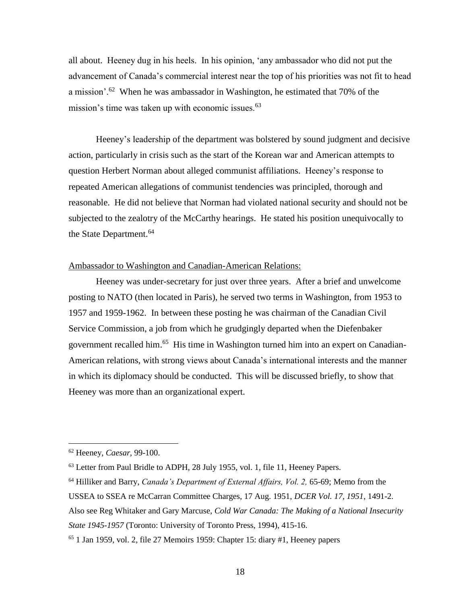all about. Heeney dug in his heels. In his opinion, 'any ambassador who did not put the advancement of Canada's commercial interest near the top of his priorities was not fit to head a mission'.<sup>62</sup> When he was ambassador in Washington, he estimated that 70% of the mission's time was taken up with economic issues.<sup>63</sup>

Heeney's leadership of the department was bolstered by sound judgment and decisive action, particularly in crisis such as the start of the Korean war and American attempts to question Herbert Norman about alleged communist affiliations. Heeney's response to repeated American allegations of communist tendencies was principled, thorough and reasonable. He did not believe that Norman had violated national security and should not be subjected to the zealotry of the McCarthy hearings. He stated his position unequivocally to the State Department.<sup>64</sup>

## Ambassador to Washington and Canadian-American Relations:

Heeney was under-secretary for just over three years. After a brief and unwelcome posting to NATO (then located in Paris), he served two terms in Washington, from 1953 to 1957 and 1959-1962. In between these posting he was chairman of the Canadian Civil Service Commission, a job from which he grudgingly departed when the Diefenbaker government recalled him.<sup>65</sup> His time in Washington turned him into an expert on Canadian-American relations, with strong views about Canada's international interests and the manner in which its diplomacy should be conducted. This will be discussed briefly, to show that Heeney was more than an organizational expert.

 $\overline{a}$ 

Also see Reg Whitaker and Gary Marcuse, *Cold War Canada: The Making of a National Insecurity State 1945-1957* (Toronto: University of Toronto Press, 1994), 415-16.

<sup>62</sup> Heeney, *Caesar*, 99-100.

<sup>63</sup> Letter from Paul Bridle to ADPH, 28 July 1955, vol. 1, file 11, Heeney Papers.

<sup>64</sup> Hilliker and Barry, *Canada's Department of External Affairs, Vol. 2,* 65-69; Memo from the

USSEA to SSEA re McCarran Committee Charges, 17 Aug. 1951, *DCER Vol. 17, 1951*, 1491-2.

 $65$  1 Jan 1959, vol. 2, file 27 Memoirs 1959: Chapter 15: diary #1, Heeney papers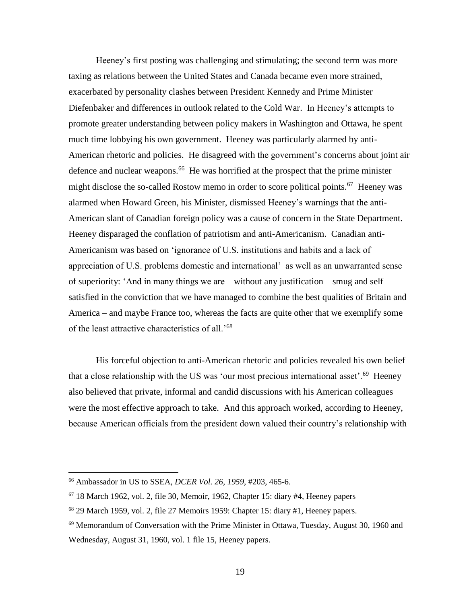Heeney's first posting was challenging and stimulating; the second term was more taxing as relations between the United States and Canada became even more strained, exacerbated by personality clashes between President Kennedy and Prime Minister Diefenbaker and differences in outlook related to the Cold War. In Heeney's attempts to promote greater understanding between policy makers in Washington and Ottawa, he spent much time lobbying his own government. Heeney was particularly alarmed by anti-American rhetoric and policies. He disagreed with the government's concerns about joint air defence and nuclear weapons.<sup>66</sup> He was horrified at the prospect that the prime minister might disclose the so-called Rostow memo in order to score political points.<sup>67</sup> Heeney was alarmed when Howard Green, his Minister, dismissed Heeney's warnings that the anti-American slant of Canadian foreign policy was a cause of concern in the State Department. Heeney disparaged the conflation of patriotism and anti-Americanism. Canadian anti-Americanism was based on 'ignorance of U.S. institutions and habits and a lack of appreciation of U.S. problems domestic and international' as well as an unwarranted sense of superiority: 'And in many things we are – without any justification – smug and self satisfied in the conviction that we have managed to combine the best qualities of Britain and America – and maybe France too, whereas the facts are quite other that we exemplify some of the least attractive characteristics of all.<sup>'68</sup>

His forceful objection to anti-American rhetoric and policies revealed his own belief that a close relationship with the US was 'our most precious international asset'.<sup>69</sup> Heeney also believed that private, informal and candid discussions with his American colleagues were the most effective approach to take. And this approach worked, according to Heeney, because American officials from the president down valued their country's relationship with

<sup>66</sup> Ambassador in US to SSEA, *DCER Vol. 26, 1959*, #203, 465-6.

 $67$  18 March 1962, vol. 2, file 30, Memoir, 1962, Chapter 15: diary #4, Heeney papers

 $68$  29 March 1959, vol. 2, file 27 Memoirs 1959: Chapter 15: diary  $\#1$ , Heeney papers.

 $69$  Memorandum of Conversation with the Prime Minister in Ottawa, Tuesday, August 30, 1960 and Wednesday, August 31, 1960, vol. 1 file 15, Heeney papers.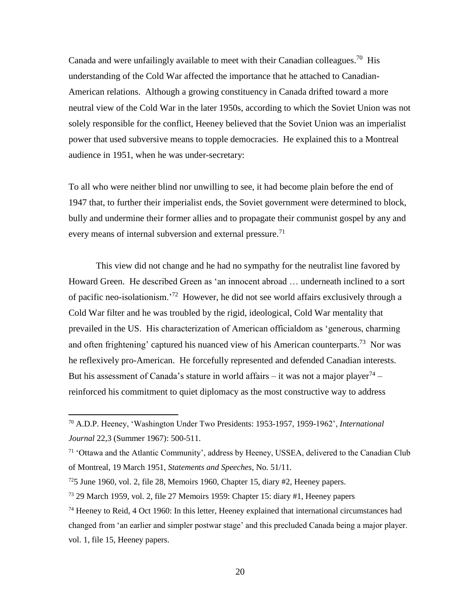Canada and were unfailingly available to meet with their Canadian colleagues.<sup>70</sup> His understanding of the Cold War affected the importance that he attached to Canadian-American relations. Although a growing constituency in Canada drifted toward a more neutral view of the Cold War in the later 1950s, according to which the Soviet Union was not solely responsible for the conflict, Heeney believed that the Soviet Union was an imperialist power that used subversive means to topple democracies. He explained this to a Montreal audience in 1951, when he was under-secretary:

To all who were neither blind nor unwilling to see, it had become plain before the end of 1947 that, to further their imperialist ends, the Soviet government were determined to block, bully and undermine their former allies and to propagate their communist gospel by any and every means of internal subversion and external pressure.<sup>71</sup>

This view did not change and he had no sympathy for the neutralist line favored by Howard Green. He described Green as 'an innocent abroad … underneath inclined to a sort of pacific neo-isolationism.<sup>'72</sup> However, he did not see world affairs exclusively through a Cold War filter and he was troubled by the rigid, ideological, Cold War mentality that prevailed in the US. His characterization of American officialdom as 'generous, charming and often frightening' captured his nuanced view of his American counterparts.<sup>73</sup> Nor was he reflexively pro-American. He forcefully represented and defended Canadian interests. But his assessment of Canada's stature in world affairs – it was not a major player<sup>74</sup> – reinforced his commitment to quiet diplomacy as the most constructive way to address

<sup>70</sup> A.D.P. Heeney, 'Washington Under Two Presidents: 1953-1957, 1959-1962', *International Journal* 22,3 (Summer 1967): 500-511.

<sup>71</sup> 'Ottawa and the Atlantic Community', address by Heeney, USSEA, delivered to the Canadian Club of Montreal, 19 March 1951, *Statements and Speeches*, No. 51/11.

 $725$  June 1960, vol. 2, file 28, Memoirs 1960, Chapter 15, diary #2, Heeney papers.

<sup>73</sup> 29 March 1959, vol. 2, file 27 Memoirs 1959: Chapter 15: diary #1, Heeney papers

<sup>&</sup>lt;sup>74</sup> Heeney to Reid, 4 Oct 1960: In this letter, Heeney explained that international circumstances had changed from 'an earlier and simpler postwar stage' and this precluded Canada being a major player. vol. 1, file 15, Heeney papers.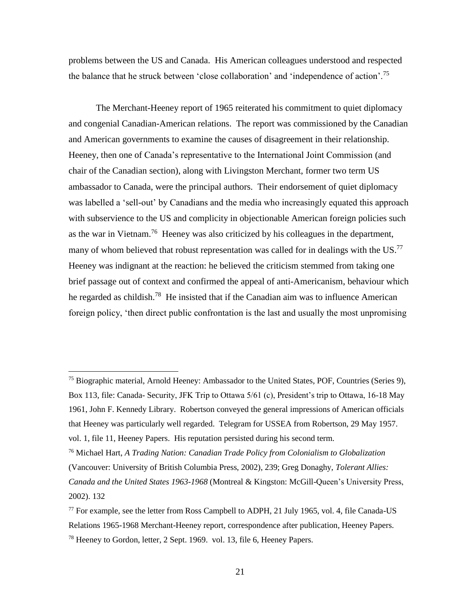problems between the US and Canada. His American colleagues understood and respected the balance that he struck between 'close collaboration' and 'independence of action'.<sup>75</sup>

The Merchant-Heeney report of 1965 reiterated his commitment to quiet diplomacy and congenial Canadian-American relations. The report was commissioned by the Canadian and American governments to examine the causes of disagreement in their relationship. Heeney, then one of Canada's representative to the International Joint Commission (and chair of the Canadian section), along with Livingston Merchant, former two term US ambassador to Canada, were the principal authors. Their endorsement of quiet diplomacy was labelled a 'sell-out' by Canadians and the media who increasingly equated this approach with subservience to the US and complicity in objectionable American foreign policies such as the war in Vietnam.<sup>76</sup> Heeney was also criticized by his colleagues in the department, many of whom believed that robust representation was called for in dealings with the US.<sup>77</sup> Heeney was indignant at the reaction: he believed the criticism stemmed from taking one brief passage out of context and confirmed the appeal of anti-Americanism, behaviour which he regarded as childish.<sup>78</sup> He insisted that if the Canadian aim was to influence American foreign policy, 'then direct public confrontation is the last and usually the most unpromising

<sup>&</sup>lt;sup>75</sup> Biographic material, Arnold Heeney: Ambassador to the United States, POF, Countries (Series 9), Box 113, file: Canada- Security, JFK Trip to Ottawa 5/61 (c), President's trip to Ottawa, 16-18 May 1961, John F. Kennedy Library. Robertson conveyed the general impressions of American officials that Heeney was particularly well regarded. Telegram for USSEA from Robertson, 29 May 1957. vol. 1, file 11, Heeney Papers. His reputation persisted during his second term.

<sup>76</sup> Michael Hart, *A Trading Nation: Canadian Trade Policy from Colonialism to Globalization* (Vancouver: University of British Columbia Press, 2002), 239; Greg Donaghy, *Tolerant Allies: Canada and the United States 1963-1968* (Montreal & Kingston: McGill-Queen's University Press, 2002). 132

 $^{77}$  For example, see the letter from Ross Campbell to ADPH, 21 July 1965, vol. 4, file Canada-US Relations 1965-1968 Merchant-Heeney report, correspondence after publication, Heeney Papers. <sup>78</sup> Heeney to Gordon, letter, 2 Sept. 1969. vol. 13, file 6, Heeney Papers.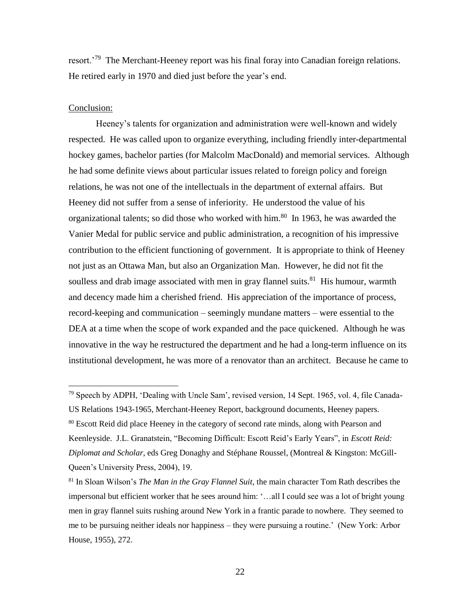resort.<sup>'79</sup> The Merchant-Heeney report was his final foray into Canadian foreign relations. He retired early in 1970 and died just before the year's end.

#### Conclusion:

 $\overline{a}$ 

Heeney's talents for organization and administration were well-known and widely respected. He was called upon to organize everything, including friendly inter-departmental hockey games, bachelor parties (for Malcolm MacDonald) and memorial services. Although he had some definite views about particular issues related to foreign policy and foreign relations, he was not one of the intellectuals in the department of external affairs. But Heeney did not suffer from a sense of inferiority. He understood the value of his organizational talents; so did those who worked with him.<sup>80</sup> In 1963, he was awarded the Vanier Medal for public service and public administration, a recognition of his impressive contribution to the efficient functioning of government. It is appropriate to think of Heeney not just as an Ottawa Man, but also an Organization Man. However, he did not fit the soulless and drab image associated with men in gray flannel suits. $81$  His humour, warmth and decency made him a cherished friend. His appreciation of the importance of process, record-keeping and communication – seemingly mundane matters – were essential to the DEA at a time when the scope of work expanded and the pace quickened. Although he was innovative in the way he restructured the department and he had a long-term influence on its institutional development, he was more of a renovator than an architect. Because he came to

<sup>79</sup> Speech by ADPH, 'Dealing with Uncle Sam', revised version, 14 Sept. 1965, vol. 4, file Canada-US Relations 1943-1965, Merchant-Heeney Report, background documents, Heeney papers. <sup>80</sup> Escott Reid did place Heeney in the category of second rate minds, along with Pearson and Keenleyside. J.L. Granatstein, "Becoming Difficult: Escott Reid's Early Years", in *Escott Reid: Diplomat and Scholar*, eds Greg Donaghy and Stéphane Roussel, (Montreal & Kingston: McGill-Queen's University Press, 2004), 19.

<sup>81</sup> In Sloan Wilson's *The Man in the Gray Flannel Suit*, the main character Tom Rath describes the impersonal but efficient worker that he sees around him: '…all I could see was a lot of bright young men in gray flannel suits rushing around New York in a frantic parade to nowhere. They seemed to me to be pursuing neither ideals nor happiness – they were pursuing a routine.' (New York: Arbor House, 1955), 272.